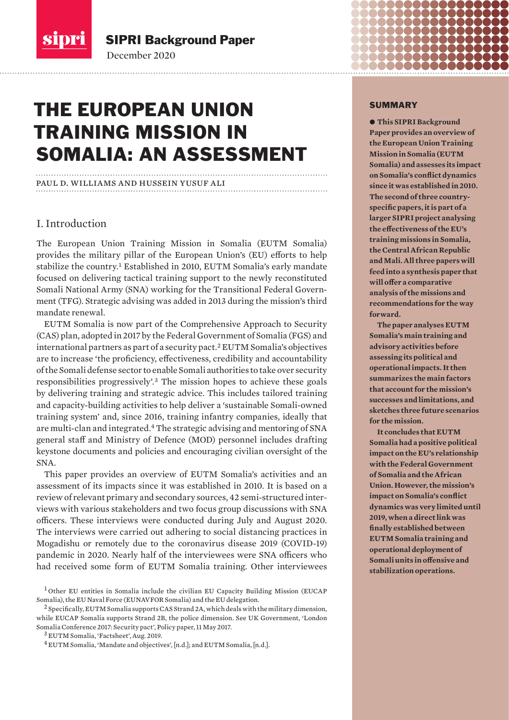<span id="page-0-0"></span>sipri

SIPRI Background Paper

December 2020

# THE EUROPEAN UNION TRAINING MISSION IN SOMALIA: AN ASSESSMENT

# paul d. williams and hussein yusuf ali

# I. Introduction

The European Union Training Mission in Somalia (EUTM Somalia) provides the military pillar of the European Union's (EU) efforts to help stabilize the country.<sup>1</sup> Established in 2010, EUTM Somalia's early mandate focused on delivering tactical training support to the newly reconstituted Somali National Army (SNA) working for the Transitional Federal Government (TFG). Strategic advising was added in 2013 during the mission's third mandate renewal.

EUTM Somalia is now part of the Comprehensive Approach to Security (CAS) plan, adopted in 2017 by the Federal Government of Somalia (FGS) and international partners as part of a security pact.<sup>2</sup> EUTM Somalia's objectives are to increase 'the proficiency, effectiveness, credibility and accountability of the Somali defense sector to enable Somali authorities to take over security responsibilities progressively'.<sup>3</sup> The mission hopes to achieve these goals by delivering training and strategic advice. This includes tailored training and capacity-building activities to help deliver a 'sustainable Somali-owned training system' and, since 2016, training infantry companies, ideally that are multi-clan and integrated.<sup>4</sup> The strategic advising and mentoring of SNA general staff and Ministry of Defence (MOD) personnel includes drafting keystone documents and policies and encouraging civilian oversight of the SNA.

This paper provides an overview of EUTM Somalia's activities and an assessment of its impacts since it was established in 2010. It is based on a review of relevant primary and secondary sources, 42 semi-structured interviews with various stakeholders and two focus group discussions with SNA officers. These interviews were conducted during July and August 2020. The interviews were carried out adhering to social distancing practices in Mogadishu or remotely due to the coronavirus disease 2019 (COVID-19) pandemic in 2020. Nearly half of the interviewees were SNA officers who had received some form of EUTM Somalia training. Other interviewees

<sup>3</sup> EUTM Somalia, '[Factsheet](https://www.eutm-somalia.eu/wp-content/uploads/2019/08/FACTSHEET-2019_G.B.-DE-SIO.pdf)', Aug. 2019.

#### SUMMARY

 $\bullet$  **This SIPRI Background Paper provides an overview of the European Union Training Mission in Somalia (EUTM Somalia) and assesses its impact on Somalia's conflict dynamics since it was established in 2010. The second of three countryspecific papers, it is part of a larger SIPRI project analysing the effectiveness of the EU's training missions in Somalia, the Central African Republic and Mali. All three papers will feed into a synthesis paper that will offer a comparative analysis of the missions and recommendations for the way forward.** 

**The paper analyses EUTM Somalia's main training and advisory activities before assessing its political and operational impacts. It then summarizes the main factors that account for the mission's successes and limitations, and sketches three future scenarios for the mission.** 

**It concludes that EUTM Somalia had a positive political impact on the EU's relationship with the Federal Government of Somalia and the African Union. However, the mission's impact on Somalia's conflict dynamics was very limited until 2019, when a direct link was finally established between EUTM Somalia training and operational deployment of Somali units in offensive and stabilization operations.**

 $1$  Other EU entities in Somalia include the civilian EU Capacity Building Mission (EUCAP Somalia), the EU Naval Force (EUNAVFOR Somalia) and the EU delegation.

 $^2$  Specifically, EUTM Somalia supports CAS Strand 2A, which deals with the military dimension, while EUCAP Somalia supports Strand 2B, the police dimension. See UK Government, '[London](https://www.gov.uk/government/publications/london-somalia-conference-2017-security-pact)  [Somalia Conference 2017: Security pact](https://www.gov.uk/government/publications/london-somalia-conference-2017-security-pact)', Policy paper, 11 May 2017.

<sup>4</sup> EUTM Somalia, '[Mandate and objectives'](https://www.eutm-somalia.eu/about-us/), [n.d.]; and [EUTM Somalia,](https://www.eutm-somalia.eu) [n.d.].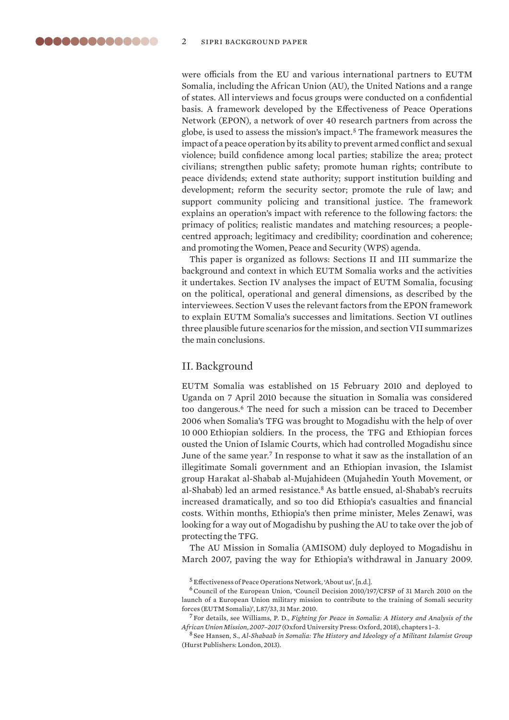<span id="page-1-0"></span>were officials from the EU and various international partners to EUTM Somalia, including the African Union (AU), the United Nations and a range of states. All interviews and focus groups were conducted on a confidential basis. A framework developed by the Effectiveness of Peace Operations Network (EPON), a network of over 40 research partners from across the globe, is used to assess the mission's impact.<sup>5</sup> The framework measures the impact of a peace operation by its ability to prevent armed conflict and sexual violence; build confidence among local parties; stabilize the area; protect civilians; strengthen public safety; promote human rights; contribute to peace dividends; extend state authority; support institution building and development; reform the security sector; promote the rule of law; and support community policing and transitional justice. The framework explains an operation's impact with reference to the following factors: the primacy of politics; realistic mandates and matching resources; a peoplecentred approach; legitimacy and credibility; coordination and coherence; and promoting the Women, Peace and Security (WPS) agenda.

This paper is organized as follows: Sections II and III summarize the background and context in which EUTM Somalia works and the activities it undertakes. Section IV analyses the impact of EUTM Somalia, focusing on the political, operational and general dimensions, as described by the interviewees. Section V uses the relevant factors from the EPON framework to explain EUTM Somalia's successes and limitations. Section VI outlines three plausible future scenarios for the mission, and section VII summarizes the main conclusions.

# II. Background

EUTM Somalia was established on 15 February 2010 and deployed to Uganda on 7 April 2010 because the situation in Somalia was considered too dangerous.<sup>6</sup> The need for such a mission can be traced to December 2006 when Somalia's TFG was brought to Mogadishu with the help of over 10 000 Ethiopian soldiers. In the process, the TFG and Ethiopian forces ousted the Union of Islamic Courts, which had controlled Mogadishu since June of the same year.<sup>7</sup> In response to what it saw as the installation of an illegitimate Somali government and an Ethiopian invasion, the Islamist group Harakat al-Shabab al-Mujahideen (Mujahedin Youth Movement, or al-Shabab) led an armed resistance.<sup>8</sup> As battle ensued, al-Shabab's recruits increased dramatically, and so too did Ethiopia's casualties and financial costs. Within months, Ethiopia's then prime minister, Meles Zenawi, was looking for a way out of Mogadishu by pushing the AU to take over the job of protecting the TFG.

The AU Mission in Somalia (AMISOM) duly deployed to Mogadishu in March 2007, paving the way for Ethiopia's withdrawal in January 2009.

<sup>8</sup> See Hansen, S., *Al-Shabaab in Somalia: The History and Ideology of a Militant Islamist Group*  (Hurst Publishers: London, 2013).

<sup>5</sup> Effectiveness of Peace Operations Network, '[About us](https://effectivepeaceops.net)', [n.d.].

<sup>&</sup>lt;sup>6</sup> Council of the European Union, 'Council Decision 2010/197/CFSP of 31 March 2010 on the [launch of a European Union military mission to contribute to the training of Somali security](https://eur-lex.europa.eu/legal-content/EN/TXT/?uri=CELEX%3A32010D0197) [forces \(EUTM Somalia\)](https://eur-lex.europa.eu/legal-content/EN/TXT/?uri=CELEX%3A32010D0197)', L87/33, 31 Mar. 2010.

<sup>7</sup> For details, see Williams, P. D., *Fighting for Peace in Somalia: A History and Analysis of the African Union Mission, 2007–2017* (Oxford University Press: Oxford, 2018), chapters 1–3.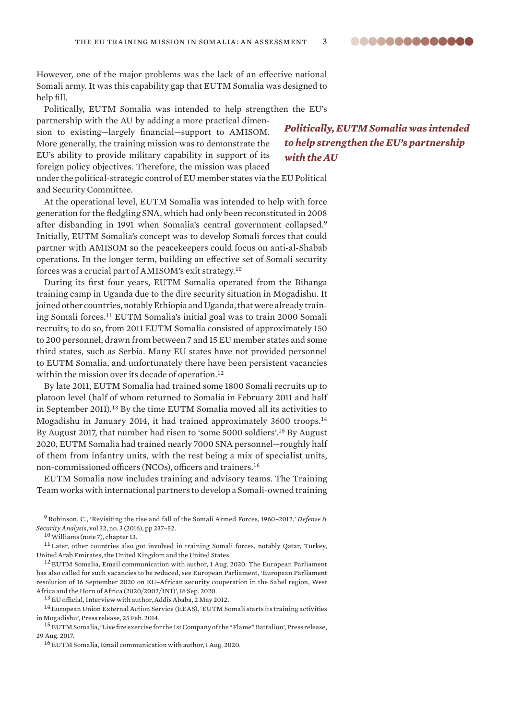However, one of the major problems was the lack of an effective national Somali army. It was this capability gap that EUTM Somalia was designed to help fill.

Politically, EUTM Somalia was intended to help strengthen the EU's

partnership with the AU by adding a more practical dimension to existing—largely financial—support to AMISOM. More generally, the training mission was to demonstrate the EU's ability to provide military capability in support of its foreign policy objectives. Therefore, the mission was placed

*Politically, EUTM Somalia was intended to help strengthen the EU's partnership with the AU*

under the political-strategic control of EU member states via the EU Political and Security Committee.

At the operational level, EUTM Somalia was intended to help with force generation for the fledgling SNA, which had only been reconstituted in 2008 after disbanding in 1991 when Somalia's central government collapsed.<sup>9</sup> Initially, EUTM Somalia's concept was to develop Somali forces that could partner with AMISOM so the peacekeepers could focus on anti-al-Shabab operations. In the longer term, building an effective set of Somali security forces was a crucial part of AMISOM's exit strategy.<sup>10</sup>

During its first four years, EUTM Somalia operated from the Bihanga training camp in Uganda due to the dire security situation in Mogadishu. It joined other countries, notably Ethiopia and Uganda, that were already training Somali forces.<sup>11</sup> EUTM Somalia's initial goal was to train 2000 Somali recruits; to do so, from 2011 EUTM Somalia consisted of approximately 150 to 200 personnel, drawn from between 7 and 15 EU member states and some third states, such as Serbia. Many EU states have not provided personnel to EUTM Somalia, and unfortunately there have been persistent vacancies within the mission over its decade of operation.<sup>12</sup>

By late 2011, EUTM Somalia had trained some 1800 Somali recruits up to platoon level (half of whom returned to Somalia in February 2011 and half in September 2011).<sup>13</sup> By the time EUTM Somalia moved all its activities to Mogadishu in January 2014, it had trained approximately 3600 troops.<sup>14</sup> By August 2017, that number had risen to 'some 5000 soldiers'.<sup>15</sup> By August 2020, EUTM Somalia had trained nearly 7000 SNA personnel—roughly half of them from infantry units, with the rest being a mix of specialist units, non-commissioned officers (NCOs), officers and trainers.<sup>16</sup>

EUTM Somalia now includes training and advisory teams. The Training Team works with international partners to develop a Somali-owned training

<sup>12</sup> EUTM Somalia, Email communication with author, 1 Aug. 2020. The European Parliament has also called for such vacancies to be reduced, see European Parliament, ['European Parliament](https://www.europarl.europa.eu/doceo/document/TA-9-2020-0213_EN.html)  [resolution of 16 September 2020 on EU–African security cooperation in the Sahel region, West](https://www.europarl.europa.eu/doceo/document/TA-9-2020-0213_EN.html)  [Africa and the Horn of Africa \(2020/2002/INI\)](https://www.europarl.europa.eu/doceo/document/TA-9-2020-0213_EN.html)', 16 Sep. 2020.

<sup>13</sup> EU official, Interview with author, Addis Ababa, 2 May 2012.

<sup>14</sup> European Union External Action Service (EEAS), 'EUTM Somali starts its training activities [in Mogadishu](http://www.ieee.es/Galerias/fichero/Varios/UnionEuropea/EUTM_Somalia_AdiestramientoMogadiscio_25feb2014.pdf)', Press release, 25 Feb. 2014.

<sup>16</sup> EUTM Somalia, Email communication with author, 1 Aug. 2020.

<sup>9</sup>Robinson, C., 'Revisiting the rise and fall of the Somali Armed Forces, 1960–2012,' *Defense & Security Analysis*, vol 32, no. 3 (2016), pp 237–52.

<sup>10</sup>Williams (note 7), chapter 13.

<sup>&</sup>lt;sup>11</sup> Later, other countries also got involved in training Somali forces, notably Qatar, Turkey, United Arab Emirates, the United Kingdom and the United States.

<sup>15</sup> EUTM Somalia, ['Live fire exercise for the 1st Company of the "Flame" Battalion](https://eeas.europa.eu/headquarters/headQuarters-homepage/31528/eutm-somalia-–-live-fire-exercise-1st-company-flame-battalion_mt)', Press release, 29 Aug. 2017.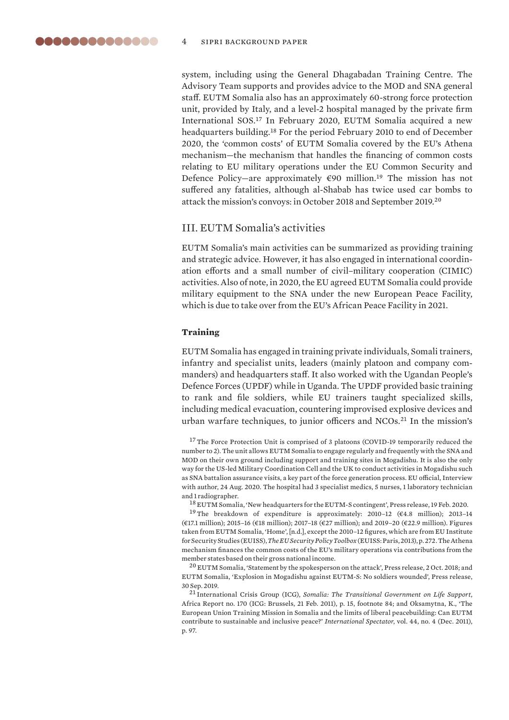<span id="page-3-0"></span>system, including using the General Dhagabadan Training Centre. The Advisory Team supports and provides advice to the MOD and SNA general staff. EUTM Somalia also has an approximately 60-strong force protection unit, provided by Italy, and a level-2 hospital managed by the private firm International SOS.<sup>17</sup> In February 2020, EUTM Somalia acquired a new headquarters building.<sup>18</sup> For the period February 2010 to end of December 2020, the 'common costs' of EUTM Somalia covered by the EU's Athena mechanism—the mechanism that handles the financing of common costs relating to EU military operations under the EU Common Security and Defence Policy-are approximately  $\epsilon$ 90 million.<sup>19</sup> The mission has not suffered any fatalities, although al-Shabab has twice used car bombs to attack the mission's convoys: in October 2018 and September 2019.<sup>20</sup>

# III. EUTM Somalia's activities

EUTM Somalia's main activities can be summarized as providing training and strategic advice. However, it has also engaged in international coordination efforts and a small number of civil–military cooperation (CIMIC) activities. Also of note, in 2020, the EU agreed EUTM Somalia could provide military equipment to the SNA under the new European Peace Facility, which is due to take over from the EU's African Peace Facility in 2021.

#### **Training**

EUTM Somalia has engaged in training private individuals, Somali trainers, infantry and specialist units, leaders (mainly platoon and company commanders) and headquarters staff. It also worked with the Ugandan People's Defence Forces (UPDF) while in Uganda. The UPDF provided basic training to rank and file soldiers, while EU trainers taught specialized skills, including medical evacuation, countering improvised explosive devices and urban warfare techniques, to junior officers and NCOs.<sup>21</sup> In the mission's

<sup>17</sup>The Force Protection Unit is comprised of 3 platoons (COVID-19 temporarily reduced the number to 2). The unit allows EUTM Somalia to engage regularly and frequently with the SNA and MOD on their own ground including support and training sites in Mogadishu. It is also the only way for the US-led Military Coordination Cell and the UK to conduct activities in Mogadishu such as SNA battalion assurance visits, a key part of the force generation process. EU official, Interview with author, 24 Aug. 2020. The hospital had 3 specialist medics, 5 nurses, 1 laboratory technician and 1 radiographer.

<sup>18</sup> EUTM Somalia, '[New headquarters for the EUTM-S contingent](https://www.eutm-somalia.eu/new-headquarters-for-the-eutm-s-contingent/)', Press release, 19 Feb. 2020.

<sup>19</sup>The breakdown of expenditure is approximately: 2010-12 ( $€4.8$  million); 2013-14 (€17.1 million); 2015–16 (€18 million); 2017–18 (€27 million); and 2019–20 (€22.9 million). Figures taken from EUTM Somalia, '[Home'](https://www.eutm-somalia.eu), [n.d.], except the 2010–12 figures, which are from EU Institute for Security Studies (EUISS), *[The EU Security Policy Toolbox](https://www.iss.europa.eu/sites/default/files/5.3_CFSP_Budget.pdf)*(EUISS: Paris, 2013), p. 272. The Athena mechanism finances the common costs of the EU's military operations via contributions from the member states based on their gross national income.

<sup>20</sup> EUTM Somalia, ['Statement by the spokesperson on the attack'](https://www.eutm-somalia.eu/wp-content/uploads/2018/10/Press-Summary-02102018.pdf), Press release, 2 Oct. 2018; and EUTM Somalia, '[Explosion in Mogadishu against EUTM-S: No soldiers wounded'](https://www.eutm-somalia.eu/explosion-in-mogadishu-against-eutm-s-no-soldiers-wounded/), Press release, 30 Sep. 2019.

<sup>21</sup> International Crisis Group (ICG), *Somalia: The Transitional Government on Life Support*, Africa Report no. 170 (ICG: Brussels, 21 Feb. 2011), p. 15, footnote 84; and Oksamytna, K., 'The European Union Training Mission in Somalia and the limits of liberal peacebuilding: Can EUTM contribute to sustainable and inclusive peace?' *International Spectator*, vol. 44, no. 4 (Dec. 2011), p. 97.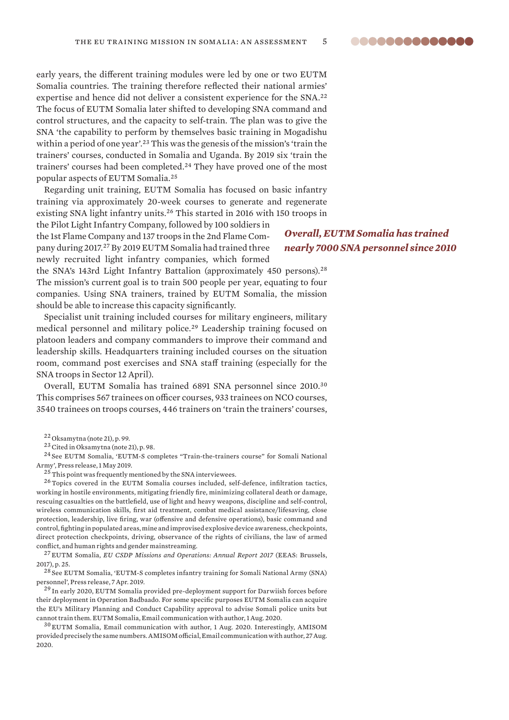early years, the different training modules were led by one or two EUTM Somalia countries. The training therefore reflected their national armies' expertise and hence did not deliver a consistent experience for the SNA.<sup>22</sup> The focus of EUTM Somalia later shifted to developing SNA command and control structures, and the capacity to self-train. The plan was to give the SNA 'the capability to perform by themselves basic training in Mogadishu within a period of one year'.<sup>23</sup> This was the genesis of the mission's 'train the trainers' courses, conducted in Somalia and Uganda. By 2019 six 'train the trainers' courses had been completed.<sup>24</sup> They have proved one of the most popular aspects of EUTM Somalia.<sup>25</sup>

Regarding unit training, EUTM Somalia has focused on basic infantry training via approximately 20-week courses to generate and regenerate existing SNA light infantry units.<sup>26</sup> This started in 2016 with 150 troops in

the Pilot Light Infantry Company, followed by 100 soldiers in the 1st Flame Company and 137 troops in the 2nd Flame Company during 2017.<sup>27</sup> By 2019 EUTM Somalia had trained three newly recruited light infantry companies, which formed

the SNA's 143rd Light Infantry Battalion (approximately 450 persons).<sup>28</sup> The mission's current goal is to train 500 people per year, equating to four companies. Using SNA trainers, trained by EUTM Somalia, the mission should be able to increase this capacity significantly.

Specialist unit training included courses for military engineers, military medical personnel and military police.<sup>29</sup> Leadership training focused on platoon leaders and company commanders to improve their command and leadership skills. Headquarters training included courses on the situation room, command post exercises and SNA staff training (especially for the SNA troops in Sector 12 April).

Overall, EUTM Somalia has trained 6891 SNA personnel since 2010.<sup>30</sup> This comprises 567 trainees on officer courses, 933 trainees on NCO courses, 3540 trainees on troops courses, 446 trainers on 'train the trainers' courses,

<sup>23</sup> Cited in Oksamytna (note 21), p. 98.

<sup>24</sup> See EUTM Somalia, '[EUTM-S completes "Train-the-trainers course" for Somali National](https://www.eutm-somalia.eu/eutm-s-completes-train-the-trainers-course-for-somali-national-army/)  [Army'](https://www.eutm-somalia.eu/eutm-s-completes-train-the-trainers-course-for-somali-national-army/), Press release, 1 May 2019.

 $25$ This point was frequently mentioned by the SNA interviewees.

<sup>26</sup> Topics covered in the EUTM Somalia courses included, self-defence, infiltration tactics, working in hostile environments, mitigating friendly fire, minimizing collateral death or damage, rescuing casualties on the battlefield, use of light and heavy weapons, discipline and self-control, wireless communication skills, first aid treatment, combat medical assistance/lifesaving, close protection, leadership, live firing, war (offensive and defensive operations), basic command and control, fighting in populated areas, mine and improvised explosive device awareness, checkpoints, direct protection checkpoints, driving, observance of the rights of civilians, the law of armed conflict, and human rights and gender mainstreaming.

<sup>27</sup> EUTM Somalia, *[EU CSDP Missions and Operations: Annual Report 2017](https://www.eutm-somalia.eu/csdp_annual_report_2017_web/)* (EEAS: Brussels, 2017), p. 25.

<sup>28</sup> See EUTM Somalia, '[EUTM-S completes infantry training for Somali National Army \(SNA\)](https://www.eutm-somalia.eu/eutm-s-completes-infantry-training-for-somali-national-army-sna-personnel/)  [personnel'](https://www.eutm-somalia.eu/eutm-s-completes-infantry-training-for-somali-national-army-sna-personnel/), Press release, 7 Apr. 2019.

<sup>29</sup> In early 2020, EUTM Somalia provided pre-deployment support for Darwiish forces before their deployment in Operation Badbaado. For some specific purposes EUTM Somalia can acquire the EU's Military Planning and Conduct Capability approval to advise Somali police units but cannot train them. EUTM Somalia, Email communication with author, 1 Aug. 2020.

<sup>30</sup> EUTM Somalia, Email communication with author, 1 Aug. 2020. Interestingly, AMISOM provided precisely the same numbers. AMISOM official, Email communication with author, 27 Aug. 2020.

# *Overall, EUTM Somalia has trained nearly 7000 SNA personnel since 2010*

<sup>22</sup> Oksamytna (note 21), p. 99.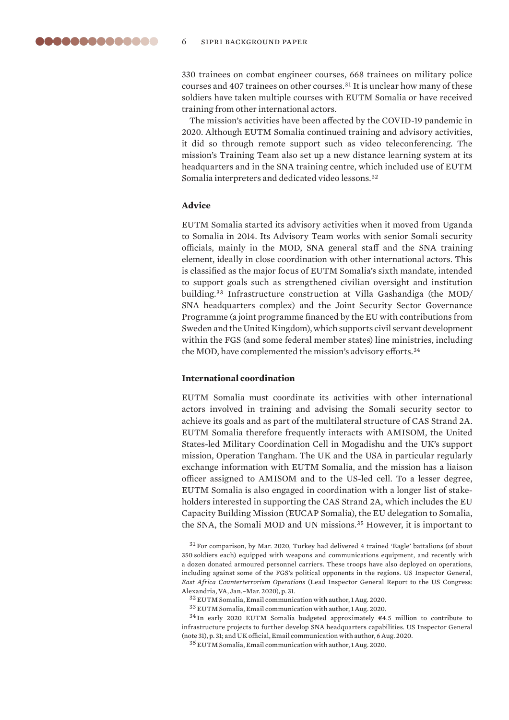<span id="page-5-0"></span>330 trainees on combat engineer courses, 668 trainees on military police courses and 407 trainees on other courses.<sup>31</sup> It is unclear how many of these soldiers have taken multiple courses with EUTM Somalia or have received training from other international actors.

The mission's activities have been affected by the COVID-19 pandemic in 2020. Although EUTM Somalia continued training and advisory activities, it did so through remote support such as video teleconferencing. The mission's Training Team also set up a new distance learning system at its headquarters and in the SNA training centre, which included use of EUTM Somalia interpreters and dedicated video lessons.<sup>32</sup>

# **Advice**

EUTM Somalia started its advisory activities when it moved from Uganda to Somalia in 2014. Its Advisory Team works with senior Somali security officials, mainly in the MOD, SNA general staff and the SNA training element, ideally in close coordination with other international actors. This is classified as the major focus of EUTM Somalia's sixth mandate, intended to support goals such as strengthened civilian oversight and institution building.<sup>33</sup> Infrastructure construction at Villa Gashandiga (the MOD/ SNA headquarters complex) and the Joint Security Sector Governance Programme (a joint programme financed by the EU with contributions from Sweden and the United Kingdom), which supports civil servant development within the FGS (and some federal member states) line ministries, including the MOD, have complemented the mission's advisory efforts.<sup>34</sup>

# **International coordination**

EUTM Somalia must coordinate its activities with other international actors involved in training and advising the Somali security sector to achieve its goals and as part of the multilateral structure of CAS Strand 2A. EUTM Somalia therefore frequently interacts with AMISOM, the United States-led Military Coordination Cell in Mogadishu and the UK's support mission, Operation Tangham. The UK and the USA in particular regularly exchange information with EUTM Somalia, and the mission has a liaison officer assigned to AMISOM and to the US-led cell. To a lesser degree, EUTM Somalia is also engaged in coordination with a longer list of stakeholders interested in supporting the CAS Strand 2A, which includes the EU Capacity Building Mission (EUCAP Somalia), the EU delegation to Somalia, the SNA, the Somali MOD and UN missions.<sup>35</sup> However, it is important to

<sup>31</sup> For comparison, by Mar. 2020, Turkey had delivered 4 trained 'Eagle' battalions (of about 350 soldiers each) equipped with weapons and communications equipment, and recently with a dozen donated armoured personnel carriers. These troops have also deployed on operations, including against some of the FGS's political opponents in the regions. US Inspector General, *[East Africa Counterterrorism Operations](https://www.dodig.mil/Reports/Lead-Inspector-General-Reports/Article/2275915/lead-inspector-general-for-east-africa-and-north-and-west-africa-counterterrori/)* (Lead Inspector General Report to the US Congress: Alexandria, VA, Jan.–Mar. 2020), p. 31.

<sup>32</sup> EUTM Somalia, Email communication with author, 1 Aug. 2020.

<sup>33</sup> EUTM Somalia, Email communication with author, 1 Aug. 2020.

 $34$  In early 2020 EUTM Somalia budgeted approximately  $64.5$  million to contribute to infrastructure projects to further develop SNA headquarters capabilities. US Inspector General (note 31), p. 31; and UK official, Email communication with author, 6 Aug. 2020.

<sup>35</sup> EUTM Somalia, Email communication with author, 1 Aug. 2020.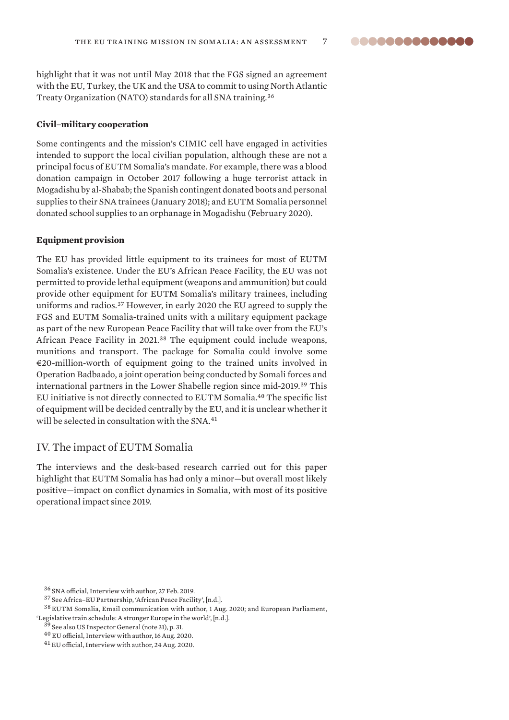<span id="page-6-0"></span>highlight that it was not until May 2018 that the FGS signed an agreement with the EU, Turkey, the UK and the USA to commit to using North Atlantic Treaty Organization (NATO) standards for all SNA training.<sup>36</sup>

#### **Civil–military cooperation**

Some contingents and the mission's CIMIC cell have engaged in activities intended to support the local civilian population, although these are not a principal focus of EUTM Somalia's mandate. For example, there was a blood donation campaign in October 2017 following a huge terrorist attack in Mogadishu by al-Shabab; the Spanish contingent donated boots and personal supplies to their SNA trainees (January 2018); and EUTM Somalia personnel donated school supplies to an orphanage in Mogadishu (February 2020).

# **Equipment provision**

The EU has provided little equipment to its trainees for most of EUTM Somalia's existence. Under the EU's African Peace Facility, the EU was not permitted to provide lethal equipment (weapons and ammunition) but could provide other equipment for EUTM Somalia's military trainees, including uniforms and radios.<sup>37</sup> However, in early 2020 the EU agreed to supply the FGS and EUTM Somalia-trained units with a military equipment package as part of the new European Peace Facility that will take over from the EU's African Peace Facility in 2021.<sup>38</sup> The equipment could include weapons, munitions and transport. The package for Somalia could involve some  $\epsilon$ 20-million-worth of equipment going to the trained units involved in Operation Badbaado, a joint operation being conducted by Somali forces and international partners in the Lower Shabelle region since mid-2019.<sup>39</sup> This EU initiative is not directly connected to EUTM Somalia.<sup>40</sup> The specific list of equipment will be decided centrally by the EU, and it is unclear whether it will be selected in consultation with the SNA.<sup>41</sup>

# IV. The impact of EUTM Somalia

The interviews and the desk-based research carried out for this paper highlight that EUTM Somalia has had only a minor—but overall most likely positive—impact on conflict dynamics in Somalia, with most of its positive operational impact since 2019.

<sup>36</sup> SNA official, Interview with author, 27 Feb. 2019.

<sup>37</sup> See Africa–EU Partnership, 'African Peace Facility', [n.d.].

<sup>38</sup> EUTM Somalia, Email communication with author, 1 Aug. 2020; and European Parliament,

<sup>&#</sup>x27;[Legislative train schedule: A stronger Europe in the world'](https://www.europarl.europa.eu/legislative-train/theme-a-stronger-europe-in-the-world/file-mff-european-peace-facility), [n.d.].

<sup>39</sup> See also US Inspector General (note 31), p. 31.

<sup>40</sup> EU official, Interview with author, 16 Aug. 2020.

<sup>41</sup> EU official, Interview with author, 24 Aug. 2020.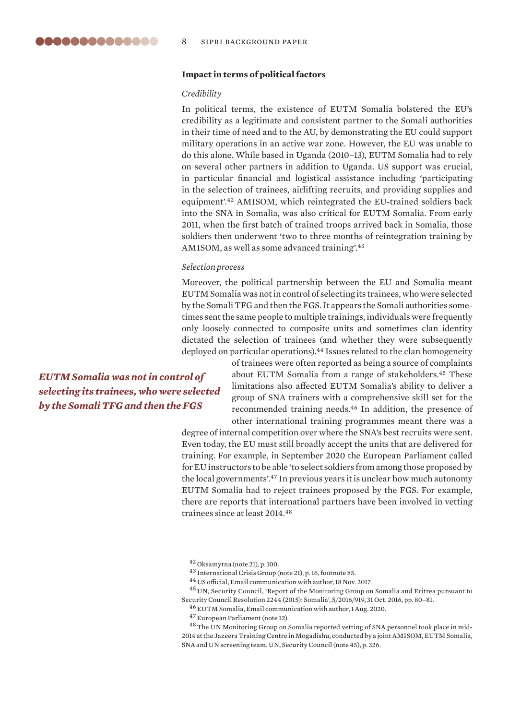# <span id="page-7-0"></span>**Impact in terms of political factors**

#### *Credibility*

In political terms, the existence of EUTM Somalia bolstered the EU's credibility as a legitimate and consistent partner to the Somali authorities in their time of need and to the AU, by demonstrating the EU could support military operations in an active war zone. However, the EU was unable to do this alone. While based in Uganda (2010–13), EUTM Somalia had to rely on several other partners in addition to Uganda. US support was crucial, in particular financial and logistical assistance including 'participating in the selection of trainees, airlifting recruits, and providing supplies and equipment'.<sup>42</sup> AMISOM, which reintegrated the EU-trained soldiers back into the SNA in Somalia, was also critical for EUTM Somalia. From early 2011, when the first batch of trained troops arrived back in Somalia, those soldiers then underwent 'two to three months of reintegration training by AMISOM, as well as some advanced training'.<sup>43</sup>

#### *Selection process*

Moreover, the political partnership between the EU and Somalia meant EUTM Somalia was not in control of selecting its trainees, who were selected by the Somali TFG and then the FGS. It appears the Somali authorities sometimes sent the same people to multiple trainings, individuals were frequently only loosely connected to composite units and sometimes clan identity dictated the selection of trainees (and whether they were subsequently deployed on particular operations).<sup>44</sup> Issues related to the clan homogeneity

*EUTM Somalia was not in control of selecting its trainees, who were selected by the Somali TFG and then the FGS*

of trainees were often reported as being a source of complaints about EUTM Somalia from a range of stakeholders.<sup>45</sup> These limitations also affected EUTM Somalia's ability to deliver a group of SNA trainers with a comprehensive skill set for the recommended training needs.<sup>46</sup> In addition, the presence of other international training programmes meant there was a

degree of internal competition over where the SNA's best recruits were sent. Even today, the EU must still broadly accept the units that are delivered for training. For example, in September 2020 the European Parliament called for EU instructors to be able 'to select soldiers from among those proposed by the local governments'.<sup>47</sup> In previous years it is unclear how much autonomy EUTM Somalia had to reject trainees proposed by the FGS. For example, there are reports that international partners have been involved in vetting trainees since at least 2014.<sup>48</sup>

<sup>42</sup> Oksamytna (note 21), p. 100.

<sup>44</sup> US official, Email communication with author, 18 Nov. 2017.

<sup>45</sup> UN, Security Council, 'Report of the Monitoring Group on Somalia and Eritrea pursuant to Security Council Resolution 2244 (2015): Somalia', S/2016/919, 31 Oct. 2016, pp. 80–81.

<sup>46</sup> EUTM Somalia, Email communication with author, 1 Aug. 2020.

<sup>47</sup> European Parliament (note 12).

<sup>48</sup>The UN Monitoring Group on Somalia reported vetting of SNA personnel took place in mid-2014 at the Jazeera Training Centre in Mogadishu, conducted by a joint AMISOM, EUTM Somalia, SNA and UN screening team. UN, Security Council (note 45), p. 326.

<sup>43</sup> International Crisis Group (note 21), p. 16, footnote 85.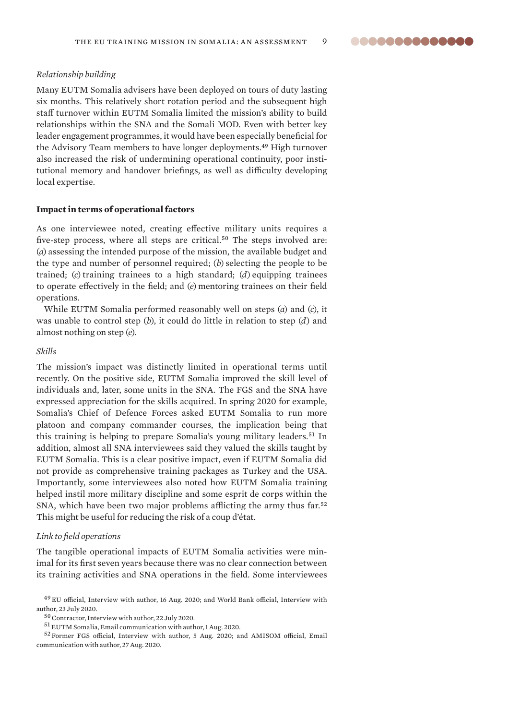#### <span id="page-8-0"></span>*Relationship building*

Many EUTM Somalia advisers have been deployed on tours of duty lasting six months. This relatively short rotation period and the subsequent high staff turnover within EUTM Somalia limited the mission's ability to build relationships within the SNA and the Somali MOD. Even with better key leader engagement programmes, it would have been especially beneficial for the Advisory Team members to have longer deployments.<sup>49</sup> High turnover also increased the risk of undermining operational continuity, poor institutional memory and handover briefings, as well as difficulty developing local expertise.

# **Impact in terms of operational factors**

As one interviewee noted, creating effective military units requires a five-step process, where all steps are critical.<sup>50</sup> The steps involved are: (*a*) assessing the intended purpose of the mission, the available budget and the type and number of personnel required; (*b*) selecting the people to be trained; (*c*) training trainees to a high standard; (*d*) equipping trainees to operate effectively in the field; and (*e*) mentoring trainees on their field operations.

While EUTM Somalia performed reasonably well on steps (*a*) and (*c*), it was unable to control step (*b*), it could do little in relation to step (*d*) and almost nothing on step (*e*).

# *Skills*

The mission's impact was distinctly limited in operational terms until recently. On the positive side, EUTM Somalia improved the skill level of individuals and, later, some units in the SNA. The FGS and the SNA have expressed appreciation for the skills acquired. In spring 2020 for example, Somalia's Chief of Defence Forces asked EUTM Somalia to run more platoon and company commander courses, the implication being that this training is helping to prepare Somalia's young military leaders.<sup>51</sup> In addition, almost all SNA interviewees said they valued the skills taught by EUTM Somalia. This is a clear positive impact, even if EUTM Somalia did not provide as comprehensive training packages as Turkey and the USA. Importantly, some interviewees also noted how EUTM Somalia training helped instil more military discipline and some esprit de corps within the SNA, which have been two major problems afflicting the army thus far.<sup>52</sup> This might be useful for reducing the risk of a coup d'état.

#### *Link to field operations*

The tangible operational impacts of EUTM Somalia activities were minimal for its first seven years because there was no clear connection between its training activities and SNA operations in the field. Some interviewees

<sup>49</sup> EU official, Interview with author, 16 Aug. 2020; and World Bank official, Interview with author, 23 July 2020.

 $^{50}$  Contractor, Interview with author, 22 July 2020.

<sup>51</sup> EUTM Somalia, Email communication with author, 1 Aug. 2020.

<sup>52</sup> Former FGS official, Interview with author, 5 Aug. 2020; and AMISOM official, Email communication with author, 27 Aug. 2020.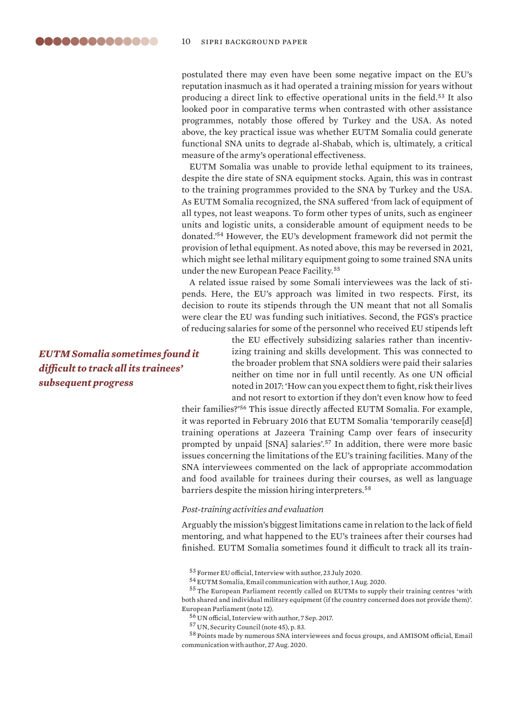postulated there may even have been some negative impact on the EU's reputation inasmuch as it had operated a training mission for years without producing a direct link to effective operational units in the field.<sup>53</sup> It also looked poor in comparative terms when contrasted with other assistance programmes, notably those offered by Turkey and the USA. As noted above, the key practical issue was whether EUTM Somalia could generate functional SNA units to degrade al-Shabab, which is, ultimately, a critical measure of the army's operational effectiveness.

EUTM Somalia was unable to provide lethal equipment to its trainees, despite the dire state of SNA equipment stocks. Again, this was in contrast to the training programmes provided to the SNA by Turkey and the USA. As EUTM Somalia recognized, the SNA suffered 'from lack of equipment of all types, not least weapons. To form other types of units, such as engineer units and logistic units, a considerable amount of equipment needs to be donated.'<sup>54</sup> However, the EU's development framework did not permit the provision of lethal equipment. As noted above, this may be reversed in 2021, which might see lethal military equipment going to some trained SNA units under the new European Peace Facility.<sup>55</sup>

A related issue raised by some Somali interviewees was the lack of stipends. Here, the EU's approach was limited in two respects. First, its decision to route its stipends through the UN meant that not all Somalis were clear the EU was funding such initiatives. Second, the FGS's practice of reducing salaries for some of the personnel who received EU stipends left

> the EU effectively subsidizing salaries rather than incentivizing training and skills development. This was connected to the broader problem that SNA soldiers were paid their salaries neither on time nor in full until recently. As one UN official noted in 2017: 'How can you expect them to fight, risk their lives and not resort to extortion if they don't even know how to feed

their families?'<sup>56</sup> This issue directly affected EUTM Somalia. For example, it was reported in February 2016 that EUTM Somalia 'temporarily cease[d] training operations at Jazeera Training Camp over fears of insecurity prompted by unpaid [SNA] salaries'.<sup>57</sup> In addition, there were more basic issues concerning the limitations of the EU's training facilities. Many of the SNA interviewees commented on the lack of appropriate accommodation and food available for trainees during their courses, as well as language barriers despite the mission hiring interpreters.<sup>58</sup>

#### *Post-training activities and evaluation*

Arguably the mission's biggest limitations came in relation to the lack of field mentoring, and what happened to the EU's trainees after their courses had finished. EUTM Somalia sometimes found it difficult to track all its train-

*EUTM Somalia sometimes found it difficult to track all its trainees' subsequent progress*

<sup>53</sup> Former EU official, Interview with author, 23 July 2020.

<sup>54</sup> EUTM Somalia, Email communication with author, 1 Aug. 2020.

<sup>55</sup>The European Parliament recently called on EUTMs to supply their training centres 'with both shared and individual military equipment (if the country concerned does not provide them)'. European Parliament (note 12).

<sup>56</sup> UN official, Interview with author, 7 Sep. 2017.

<sup>57</sup> UN, Security Council (note 45), p. 83.

<sup>58</sup> Points made by numerous SNA interviewees and focus groups, and AMISOM official, Email communication with author, 27 Aug. 2020.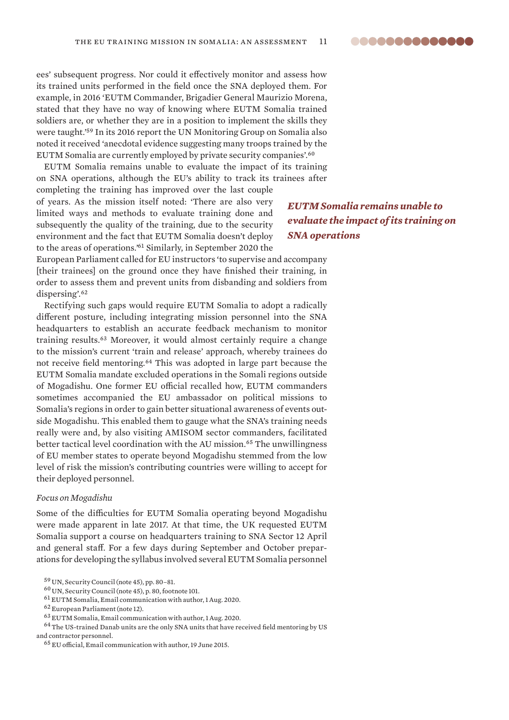ees' subsequent progress. Nor could it effectively monitor and assess how its trained units performed in the field once the SNA deployed them. For example, in 2016 'EUTM Commander, Brigadier General Maurizio Morena, stated that they have no way of knowing where EUTM Somalia trained soldiers are, or whether they are in a position to implement the skills they were taught.'<sup>59</sup> In its 2016 report the UN Monitoring Group on Somalia also noted it received 'anecdotal evidence suggesting many troops trained by the EUTM Somalia are currently employed by private security companies'.<sup>60</sup>

EUTM Somalia remains unable to evaluate the impact of its training on SNA operations, although the EU's ability to track its trainees after

completing the training has improved over the last couple of years. As the mission itself noted: 'There are also very limited ways and methods to evaluate training done and subsequently the quality of the training, due to the security environment and the fact that EUTM Somalia doesn't deploy to the areas of operations.'<sup>61</sup> Similarly, in September 2020 the

*EUTM Somalia remains unable to evaluate the impact of its training on SNA operations*

European Parliament called for EU instructors 'to supervise and accompany [their trainees] on the ground once they have finished their training, in order to assess them and prevent units from disbanding and soldiers from dispersing'.<sup>62</sup>

Rectifying such gaps would require EUTM Somalia to adopt a radically different posture, including integrating mission personnel into the SNA headquarters to establish an accurate feedback mechanism to monitor training results.<sup>63</sup> Moreover, it would almost certainly require a change to the mission's current 'train and release' approach, whereby trainees do not receive field mentoring.<sup>64</sup> This was adopted in large part because the EUTM Somalia mandate excluded operations in the Somali regions outside of Mogadishu. One former EU official recalled how, EUTM commanders sometimes accompanied the EU ambassador on political missions to Somalia's regions in order to gain better situational awareness of events outside Mogadishu. This enabled them to gauge what the SNA's training needs really were and, by also visiting AMISOM sector commanders, facilitated better tactical level coordination with the AU mission.<sup>65</sup> The unwillingness of EU member states to operate beyond Mogadishu stemmed from the low level of risk the mission's contributing countries were willing to accept for their deployed personnel.

#### *Focus on Mogadishu*

Some of the difficulties for EUTM Somalia operating beyond Mogadishu were made apparent in late 2017. At that time, the UK requested EUTM Somalia support a course on headquarters training to SNA Sector 12 April and general staff. For a few days during September and October preparations for developing the syllabus involved several EUTM Somalia personnel

- $^{60}\rm{UN},$  Security Council (note 45), p. 80, footnote 101.
- <sup>61</sup> EUTM Somalia, Email communication with author, 1 Aug. 2020.

<sup>59</sup> UN, Security Council (note 45), pp. 80–81.

<sup>62</sup> European Parliament (note 12).

<sup>63</sup> EUTM Somalia, Email communication with author, 1 Aug. 2020.

 $64$  The US-trained Danab units are the only SNA units that have received field mentoring by US and contractor personnel.

<sup>65</sup> EU official, Email communication with author, 19 June 2015.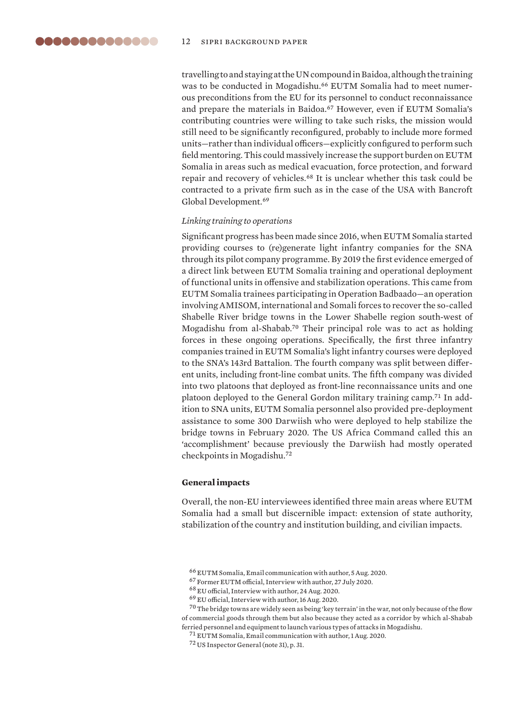<span id="page-11-0"></span>travelling to and staying at the UN compound in Baidoa, although the training was to be conducted in Mogadishu.<sup>66</sup> EUTM Somalia had to meet numerous preconditions from the EU for its personnel to conduct reconnaissance and prepare the materials in Baidoa.<sup>67</sup> However, even if EUTM Somalia's contributing countries were willing to take such risks, the mission would still need to be significantly reconfigured, probably to include more formed units—rather than individual officers—explicitly configured to perform such field mentoring. This could massively increase the support burden on EUTM Somalia in areas such as medical evacuation, force protection, and forward repair and recovery of vehicles.<sup>68</sup> It is unclear whether this task could be contracted to a private firm such as in the case of the USA with Bancroft Global Development.<sup>69</sup>

# *Linking training to operations*

Significant progress has been made since 2016, when EUTM Somalia started providing courses to (re)generate light infantry companies for the SNA through its pilot company programme. By 2019 the first evidence emerged of a direct link between EUTM Somalia training and operational deployment of functional units in offensive and stabilization operations. This came from EUTM Somalia trainees participating in Operation Badbaado—an operation involving AMISOM, international and Somali forces to recover the so-called Shabelle River bridge towns in the Lower Shabelle region south-west of Mogadishu from al-Shabab.<sup>70</sup> Their principal role was to act as holding forces in these ongoing operations. Specifically, the first three infantry companies trained in EUTM Somalia's light infantry courses were deployed to the SNA's 143rd Battalion. The fourth company was split between different units, including front-line combat units. The fifth company was divided into two platoons that deployed as front-line reconnaissance units and one platoon deployed to the General Gordon military training camp.71 In addition to SNA units, EUTM Somalia personnel also provided pre-deployment assistance to some 300 Darwiish who were deployed to help stabilize the bridge towns in February 2020. The US Africa Command called this an 'accomplishment' because previously the Darwiish had mostly operated checkpoints in Mogadishu.<sup>72</sup>

# **General impacts**

Overall, the non-EU interviewees identified three main areas where EUTM Somalia had a small but discernible impact: extension of state authority, stabilization of the country and institution building, and civilian impacts.

 $70$  The bridge towns are widely seen as being 'key terrain' in the war, not only because of the flow of commercial goods through them but also because they acted as a corridor by which al-Shabab ferried personnel and equipment to launch various types of attacks in Mogadishu.

<sup>66</sup> EUTM Somalia, Email communication with author, 5 Aug. 2020.

<sup>67</sup> Former EUTM official, Interview with author, 27 July 2020.

<sup>68</sup> EU official, Interview with author, 24 Aug. 2020.

<sup>69</sup> EU official, Interview with author, 16 Aug. 2020.

<sup>71</sup> EUTM Somalia, Email communication with author, 1 Aug. 2020.

<sup>72</sup> US Inspector General (note 31), p. 31.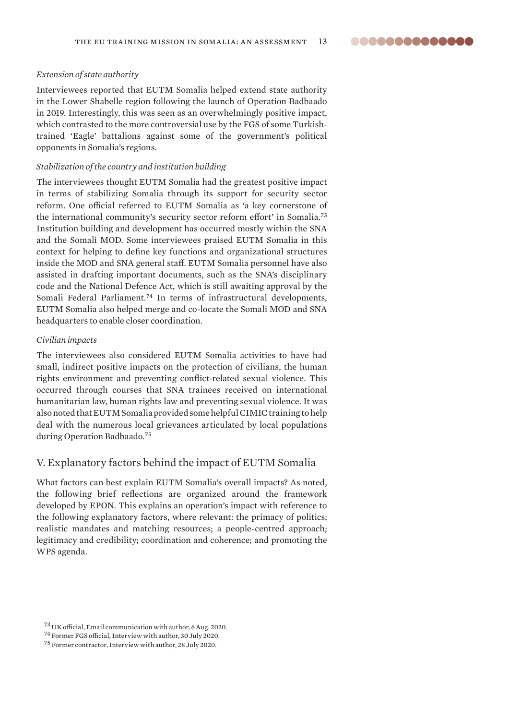### <span id="page-12-0"></span>*Extension of state authority*

Interviewees reported that EUTM Somalia helped extend state authority in the Lower Shabelle region following the launch of Operation Badbaado in 2019. Interestingly, this was seen as an overwhelmingly positive impact, which contrasted to the more controversial use by the FGS of some Turkishtrained 'Eagle' battalions against some of the government's political opponents in Somalia's regions.

#### *Stabilization of the country and institution building*

The interviewees thought EUTM Somalia had the greatest positive impact in terms of stabilizing Somalia through its support for security sector reform. One official referred to EUTM Somalia as 'a key cornerstone of the international community's security sector reform effort' in Somalia.<sup>73</sup> Institution building and development has occurred mostly within the SNA and the Somali MOD. Some interviewees praised EUTM Somalia in this context for helping to define key functions and organizational structures inside the MOD and SNA general staff. EUTM Somalia personnel have also assisted in drafting important documents, such as the SNA's disciplinary code and the National Defence Act, which is still awaiting approval by the Somali Federal Parliament.<sup>74</sup> In terms of infrastructural developments, EUTM Somalia also helped merge and co-locate the Somali MOD and SNA headquarters to enable closer coordination.

#### *Civilian impacts*

The interviewees also considered EUTM Somalia activities to have had small, indirect positive impacts on the protection of civilians, the human rights environment and preventing conflict-related sexual violence. This occurred through courses that SNA trainees received on international humanitarian law, human rights law and preventing sexual violence. It was also noted that EUTM Somalia provided some helpful CIMIC training to help deal with the numerous local grievances articulated by local populations during Operation Badbaado.<sup>75</sup>

# V. Explanatory factors behind the impact of EUTM Somalia

What factors can best explain EUTM Somalia's overall impacts? As noted, the following brief reflections are organized around the framework developed by EPON. This explains an operation's impact with reference to the following explanatory factors, where relevant: the primacy of politics; realistic mandates and matching resources; a people-centred approach; legitimacy and credibility; coordination and coherence; and promoting the WPS agenda.

<sup>73</sup> UK official, Email communication with author, 6 Aug. 2020.

<sup>74</sup> Former FGS official, Interview with author, 30 July 2020.

<sup>75</sup> Former contractor, Interview with author, 28 July 2020.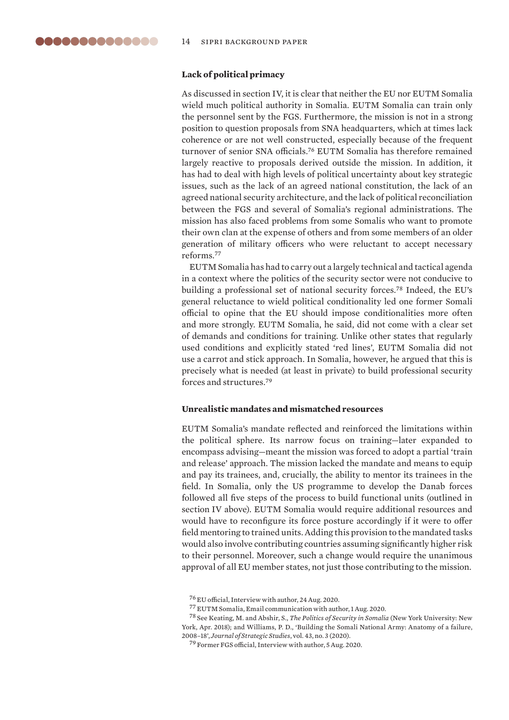# <span id="page-13-0"></span>**Lack of political primacy**

As discussed in section IV, it is clear that neither the EU nor EUTM Somalia wield much political authority in Somalia. EUTM Somalia can train only the personnel sent by the FGS. Furthermore, the mission is not in a strong position to question proposals from SNA headquarters, which at times lack coherence or are not well constructed, especially because of the frequent turnover of senior SNA officials.<sup>76</sup> EUTM Somalia has therefore remained largely reactive to proposals derived outside the mission. In addition, it has had to deal with high levels of political uncertainty about key strategic issues, such as the lack of an agreed national constitution, the lack of an agreed national security architecture, and the lack of political reconciliation between the FGS and several of Somalia's regional administrations. The mission has also faced problems from some Somalis who want to promote their own clan at the expense of others and from some members of an older generation of military officers who were reluctant to accept necessary reforms.<sup>77</sup>

EUTM Somalia has had to carry out a largely technical and tactical agenda in a context where the politics of the security sector were not conducive to building a professional set of national security forces.<sup>78</sup> Indeed, the EU's general reluctance to wield political conditionality led one former Somali official to opine that the EU should impose conditionalities more often and more strongly. EUTM Somalia, he said, did not come with a clear set of demands and conditions for training. Unlike other states that regularly used conditions and explicitly stated 'red lines', EUTM Somalia did not use a carrot and stick approach. In Somalia, however, he argued that this is precisely what is needed (at least in private) to build professional security forces and structures.<sup>79</sup>

# **Unrealistic mandates and mismatched resources**

EUTM Somalia's mandate reflected and reinforced the limitations within the political sphere. Its narrow focus on training—later expanded to encompass advising—meant the mission was forced to adopt a partial 'train and release' approach. The mission lacked the mandate and means to equip and pay its trainees, and, crucially, the ability to mentor its trainees in the field. In Somalia, only the US programme to develop the Danab forces followed all five steps of the process to build functional units (outlined in section IV above). EUTM Somalia would require additional resources and would have to reconfigure its force posture accordingly if it were to offer field mentoring to trained units. Adding this provision to the mandated tasks would also involve contributing countries assuming significantly higher risk to their personnel. Moreover, such a change would require the unanimous approval of all EU member states, not just those contributing to the mission.

<sup>76</sup> EU official, Interview with author, 24 Aug. 2020.

<sup>77</sup> EUTM Somalia, Email communication with author, 1 Aug. 2020.

<sup>78</sup> See Keating, M. and Abshir, S., *[The Politics of Security in Somalia](https://cic.nyu.edu/publications/politics-security-somalia)* (New York University: New York, Apr. 2018); and Williams, P. D., 'Building the Somali National Army: Anatomy of a failure, 2008–18', *Journal of Strategic Studies*, vol. 43, no. 3 (2020).

<sup>79</sup> Former FGS official, Interview with author, 5 Aug. 2020.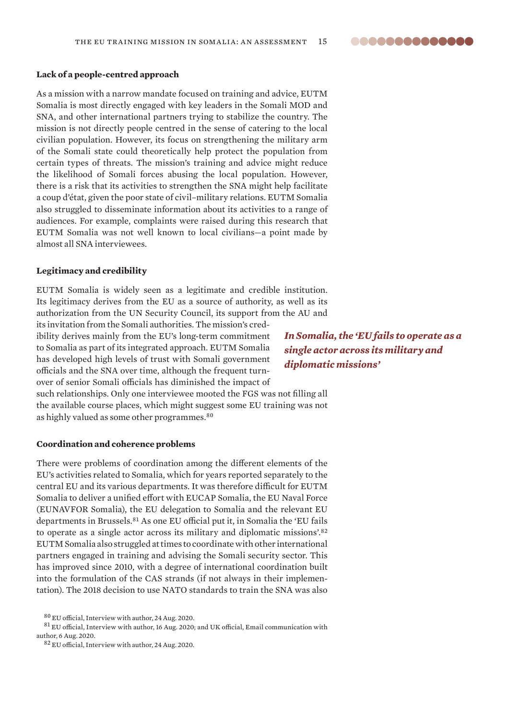#### <span id="page-14-0"></span>**Lack of a people-centred approach**

As a mission with a narrow mandate focused on training and advice, EUTM Somalia is most directly engaged with key leaders in the Somali MOD and SNA, and other international partners trying to stabilize the country. The mission is not directly people centred in the sense of catering to the local civilian population. However, its focus on strengthening the military arm of the Somali state could theoretically help protect the population from certain types of threats. The mission's training and advice might reduce the likelihood of Somali forces abusing the local population. However, there is a risk that its activities to strengthen the SNA might help facilitate a coup d'état, given the poor state of civil–military relations. EUTM Somalia also struggled to disseminate information about its activities to a range of audiences. For example, complaints were raised during this research that EUTM Somalia was not well known to local civilians—a point made by almost all SNA interviewees.

#### **Legitimacy and credibility**

EUTM Somalia is widely seen as a legitimate and credible institution. Its legitimacy derives from the EU as a source of authority, as well as its authorization from the UN Security Council, its support from the AU and its invitation from the Somali authorities. The mission's cred-

ibility derives mainly from the EU's long-term commitment to Somalia as part of its integrated approach. EUTM Somalia has developed high levels of trust with Somali government officials and the SNA over time, although the frequent turnover of senior Somali officials has diminished the impact of

*In Somalia, the 'EU fails to operate as a single actor across its military and diplomatic missions'*

such relationships. Only one interviewee mooted the FGS was not filling all the available course places, which might suggest some EU training was not as highly valued as some other programmes.<sup>80</sup>

# **Coordination and coherence problems**

There were problems of coordination among the different elements of the EU's activities related to Somalia, which for years reported separately to the central EU and its various departments. It was therefore difficult for EUTM Somalia to deliver a unified effort with EUCAP Somalia, the EU Naval Force (EUNAVFOR Somalia), the EU delegation to Somalia and the relevant EU departments in Brussels.<sup>81</sup> As one EU official put it, in Somalia the 'EU fails to operate as a single actor across its military and diplomatic missions'.<sup>82</sup> EUTM Somalia also struggled at times to coordinate with other international partners engaged in training and advising the Somali security sector. This has improved since 2010, with a degree of international coordination built into the formulation of the CAS strands (if not always in their implementation). The 2018 decision to use NATO standards to train the SNA was also

 $81$  EU official, Interview with author, 16 Aug. 2020; and UK official, Email communication with author, 6 Aug. 2020.

<sup>82</sup> EU official, Interview with author, 24 Aug. 2020.

<sup>80</sup> EU official, Interview with author, 24 Aug. 2020.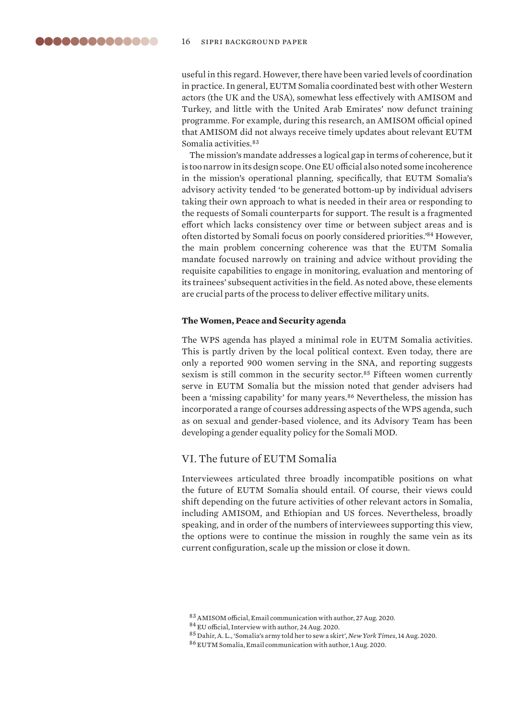<span id="page-15-0"></span>useful in this regard. However, there have been varied levels of coordination in practice. In general, EUTM Somalia coordinated best with other Western actors (the UK and the USA), somewhat less effectively with AMISOM and Turkey, and little with the United Arab Emirates' now defunct training programme. For example, during this research, an AMISOM official opined that AMISOM did not always receive timely updates about relevant EUTM Somalia activities.<sup>83</sup>

The mission's mandate addresses a logical gap in terms of coherence, but it is too narrow in its design scope. One EU official also noted some incoherence in the mission's operational planning, specifically, that EUTM Somalia's advisory activity tended 'to be generated bottom-up by individual advisers taking their own approach to what is needed in their area or responding to the requests of Somali counterparts for support. The result is a fragmented effort which lacks consistency over time or between subject areas and is often distorted by Somali focus on poorly considered priorities.'<sup>84</sup> However, the main problem concerning coherence was that the EUTM Somalia mandate focused narrowly on training and advice without providing the requisite capabilities to engage in monitoring, evaluation and mentoring of its trainees' subsequent activities in the field. As noted above, these elements are crucial parts of the process to deliver effective military units.

#### **The Women, Peace and Security agenda**

The WPS agenda has played a minimal role in EUTM Somalia activities. This is partly driven by the local political context. Even today, there are only a reported 900 women serving in the SNA, and reporting suggests sexism is still common in the security sector.<sup>85</sup> Fifteen women currently serve in EUTM Somalia but the mission noted that gender advisers had been a 'missing capability' for many years.<sup>86</sup> Nevertheless, the mission has incorporated a range of courses addressing aspects of the WPS agenda, such as on sexual and gender-based violence, and its Advisory Team has been developing a gender equality policy for the Somali MOD.

# VI. The future of EUTM Somalia

Interviewees articulated three broadly incompatible positions on what the future of EUTM Somalia should entail. Of course, their views could shift depending on the future activities of other relevant actors in Somalia, including AMISOM, and Ethiopian and US forces. Nevertheless, broadly speaking, and in order of the numbers of interviewees supporting this view, the options were to continue the mission in roughly the same vein as its current configuration, scale up the mission or close it down.

<sup>83</sup>AMISOM official, Email communication with author, 27 Aug. 2020.

<sup>84</sup> EU official, Interview with author, 24 Aug. 2020.

<sup>85</sup> Dahir, A. L., ['Somalia's army told her to sew a skirt'](https://www.nytimes.com/2020/08/14/world/africa/iman-elman-woman-Somalia-army.html), *New York Times*, 14 Aug. 2020.

<sup>86</sup> EUTM Somalia, Email communication with author, 1 Aug. 2020.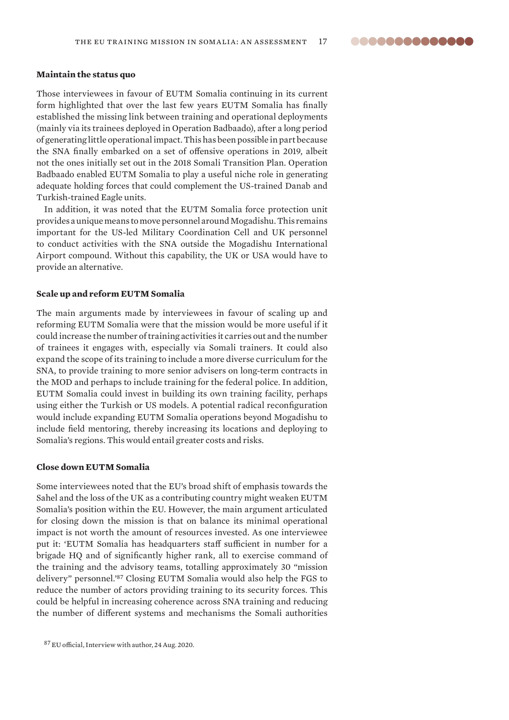#### <span id="page-16-0"></span>**Maintain the status quo**

Those interviewees in favour of EUTM Somalia continuing in its current form highlighted that over the last few years EUTM Somalia has finally established the missing link between training and operational deployments (mainly via its trainees deployed in Operation Badbaado), after a long period of generating little operational impact. This has been possible in part because the SNA finally embarked on a set of offensive operations in 2019, albeit not the ones initially set out in the 2018 Somali Transition Plan. Operation Badbaado enabled EUTM Somalia to play a useful niche role in generating adequate holding forces that could complement the US-trained Danab and Turkish-trained Eagle units.

In addition, it was noted that the EUTM Somalia force protection unit provides a unique means to move personnel around Mogadishu. This remains important for the US-led Military Coordination Cell and UK personnel to conduct activities with the SNA outside the Mogadishu International Airport compound. Without this capability, the UK or USA would have to provide an alternative.

#### **Scale up and reform EUTM Somalia**

The main arguments made by interviewees in favour of scaling up and reforming EUTM Somalia were that the mission would be more useful if it could increase the number of training activities it carries out and the number of trainees it engages with, especially via Somali trainers. It could also expand the scope of its training to include a more diverse curriculum for the SNA, to provide training to more senior advisers on long-term contracts in the MOD and perhaps to include training for the federal police. In addition, EUTM Somalia could invest in building its own training facility, perhaps using either the Turkish or US models. A potential radical reconfiguration would include expanding EUTM Somalia operations beyond Mogadishu to include field mentoring, thereby increasing its locations and deploying to Somalia's regions. This would entail greater costs and risks.

#### **Close down EUTM Somalia**

Some interviewees noted that the EU's broad shift of emphasis towards the Sahel and the loss of the UK as a contributing country might weaken EUTM Somalia's position within the EU. However, the main argument articulated for closing down the mission is that on balance its minimal operational impact is not worth the amount of resources invested. As one interviewee put it: 'EUTM Somalia has headquarters staff sufficient in number for a brigade HQ and of significantly higher rank, all to exercise command of the training and the advisory teams, totalling approximately 30 "mission delivery" personnel.'<sup>87</sup> Closing EUTM Somalia would also help the FGS to reduce the number of actors providing training to its security forces. This could be helpful in increasing coherence across SNA training and reducing the number of different systems and mechanisms the Somali authorities

<sup>87</sup> EU official, Interview with author, 24 Aug. 2020.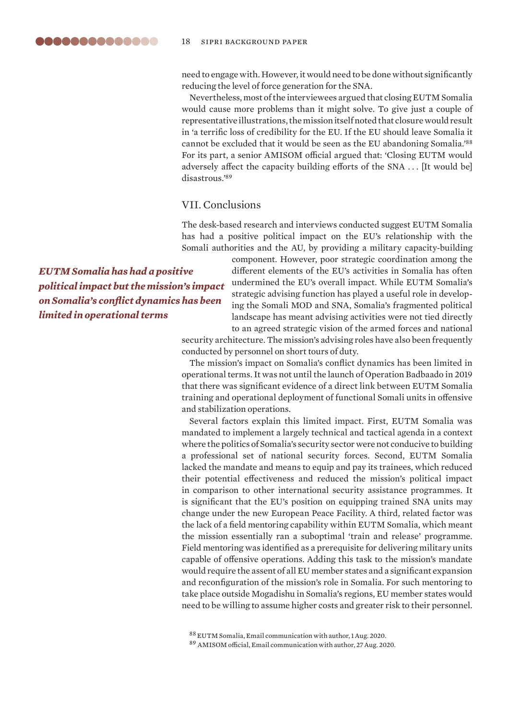<span id="page-17-0"></span>need to engage with. However, it would need to be done without significantly reducing the level of force generation for the SNA.

Nevertheless, most of the interviewees argued that closing EUTM Somalia would cause more problems than it might solve. To give just a couple of representative illustrations, the mission itself noted that closure would result in 'a terrific loss of credibility for the EU. If the EU should leave Somalia it cannot be excluded that it would be seen as the EU abandoning Somalia.'<sup>88</sup> For its part, a senior AMISOM official argued that: 'Closing EUTM would adversely affect the capacity building efforts of the SNA . . . [It would be] disastrous.'<sup>89</sup>

# VII. Conclusions

The desk-based research and interviews conducted suggest EUTM Somalia has had a positive political impact on the EU's relationship with the Somali authorities and the AU, by providing a military capacity-building

*EUTM Somalia has had a positive political impact but the mission's impact on Somalia's conflict dynamics has been limited in operational terms*

component. However, poor strategic coordination among the different elements of the EU's activities in Somalia has often undermined the EU's overall impact. While EUTM Somalia's strategic advising function has played a useful role in developing the Somali MOD and SNA, Somalia's fragmented political landscape has meant advising activities were not tied directly to an agreed strategic vision of the armed forces and national

security architecture. The mission's advising roles have also been frequently conducted by personnel on short tours of duty.

The mission's impact on Somalia's conflict dynamics has been limited in operational terms. It was not until the launch of Operation Badbaado in 2019 that there was significant evidence of a direct link between EUTM Somalia training and operational deployment of functional Somali units in offensive and stabilization operations.

Several factors explain this limited impact. First, EUTM Somalia was mandated to implement a largely technical and tactical agenda in a context where the politics of Somalia's security sector were not conducive to building a professional set of national security forces. Second, EUTM Somalia lacked the mandate and means to equip and pay its trainees, which reduced their potential effectiveness and reduced the mission's political impact in comparison to other international security assistance programmes. It is significant that the EU's position on equipping trained SNA units may change under the new European Peace Facility. A third, related factor was the lack of a field mentoring capability within EUTM Somalia, which meant the mission essentially ran a suboptimal 'train and release' programme. Field mentoring was identified as a prerequisite for delivering military units capable of offensive operations. Adding this task to the mission's mandate would require the assent of all EU member states and a significant expansion and reconfiguration of the mission's role in Somalia. For such mentoring to take place outside Mogadishu in Somalia's regions, EU member states would need to be willing to assume higher costs and greater risk to their personnel.

<sup>88</sup> EUTM Somalia, Email communication with author, 1 Aug. 2020.

<sup>89</sup> AMISOM official, Email communication with author, 27 Aug. 2020.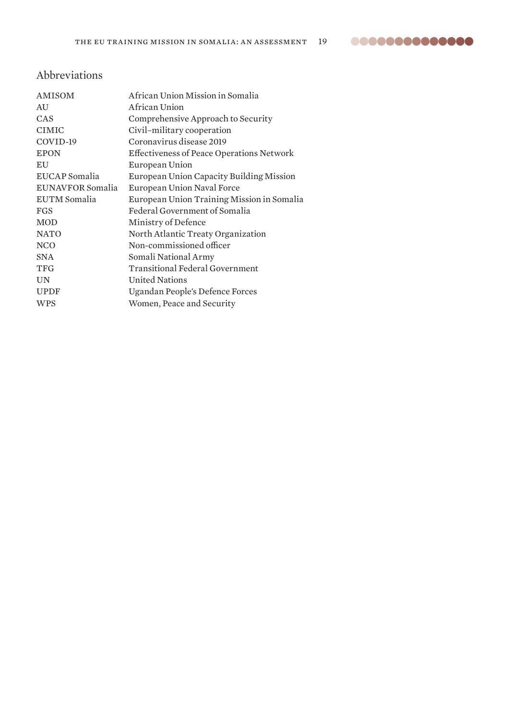

# <span id="page-18-0"></span>Abbreviations

| AMISOM              | African Union Mission in Somalia                 |  |
|---------------------|--------------------------------------------------|--|
| AU                  | African Union                                    |  |
| CAS                 | Comprehensive Approach to Security               |  |
| <b>CIMIC</b>        | Civil-military cooperation                       |  |
| COVID-19            | Coronavirus disease 2019                         |  |
| <b>EPON</b>         | <b>Effectiveness of Peace Operations Network</b> |  |
| EU                  | European Union                                   |  |
| EUCAP Somalia       | European Union Capacity Building Mission         |  |
| EUNAVFOR Somalia    | European Union Naval Force                       |  |
| <b>EUTM</b> Somalia | European Union Training Mission in Somalia       |  |
| <b>FGS</b>          | Federal Government of Somalia                    |  |
| <b>MOD</b>          | Ministry of Defence                              |  |
| <b>NATO</b>         | North Atlantic Treaty Organization               |  |
| <b>NCO</b>          | Non-commissioned officer                         |  |
| <b>SNA</b>          | Somali National Army                             |  |
| <b>TFG</b>          | <b>Transitional Federal Government</b>           |  |
| <b>UN</b>           | <b>United Nations</b>                            |  |
| <b>UPDF</b>         | Ugandan People's Defence Forces                  |  |
| <b>WPS</b>          | Women, Peace and Security                        |  |
|                     |                                                  |  |